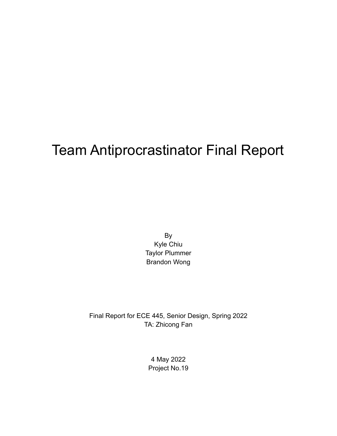# Team Antiprocrastinator Final Report

By Kyle Chiu Taylor Plummer Brandon Wong

Final Report for ECE 445, Senior Design, Spring 2022 TA: Zhicong Fan

> 4 May 2022 Project No.19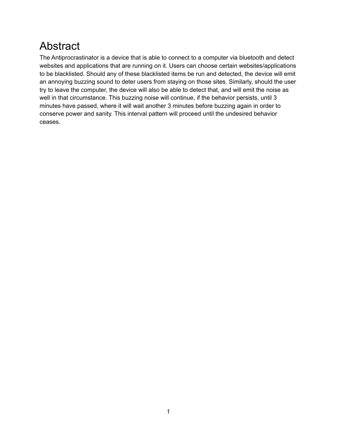# Abstract

The Antiprocrastinator is a device that is able to connect to a computer via bluetooth and detect websites and applications that are running on it. Users can choose certain websites/applications to be blacklisted. Should any of these blacklisted items be run and detected, the device will emit an annoying buzzing sound to deter users from staying on those sites. Similarly, should the user try to leave the computer, the device will also be able to detect that, and will emit the noise as well in that circumstance. This buzzing noise will continue, if the behavior persists, until 3 minutes have passed, where it will wait another 3 minutes before buzzing again in order to conserve power and sanity. This interval pattern will proceed until the undesired behavior ceases.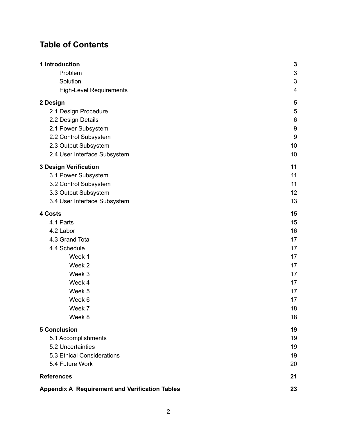## **Table of Contents**

| 1 Introduction                                        | $\mathbf{3}$     |
|-------------------------------------------------------|------------------|
| Problem                                               | 3                |
| Solution                                              | 3                |
| <b>High-Level Requirements</b>                        | 4                |
| 2 Design                                              | 5                |
| 2.1 Design Procedure                                  | 5                |
| 2.2 Design Details                                    | 6                |
| 2.1 Power Subsystem                                   | 9                |
| 2.2 Control Subsystem                                 | $\boldsymbol{9}$ |
| 2.3 Output Subsystem                                  | 10               |
| 2.4 User Interface Subsystem                          | 10               |
| <b>3 Design Verification</b>                          | 11               |
| 3.1 Power Subsystem                                   | 11               |
| 3.2 Control Subsystem                                 | 11               |
| 3.3 Output Subsystem                                  | 12               |
| 3.4 User Interface Subsystem                          | 13               |
| 4 Costs                                               | 15               |
| 4.1 Parts                                             | 15               |
| 4.2 Labor                                             | 16               |
| 4.3 Grand Total                                       | 17               |
| 4.4 Schedule                                          | 17               |
| Week 1                                                | 17               |
| Week 2                                                | 17               |
| Week 3                                                | 17<br>17         |
| Week 4<br>Week 5                                      | 17               |
| Week 6                                                | 17               |
| Week 7                                                | 18               |
| Week 8                                                | 18               |
| <b>5 Conclusion</b>                                   | 19               |
| 5.1 Accomplishments                                   | 19               |
| 5.2 Uncertainties                                     | 19               |
| 5.3 Ethical Considerations                            | 19               |
| 5.4 Future Work                                       | 20               |
| <b>References</b>                                     | 21               |
|                                                       |                  |
| <b>Appendix A Requirement and Verification Tables</b> | 23               |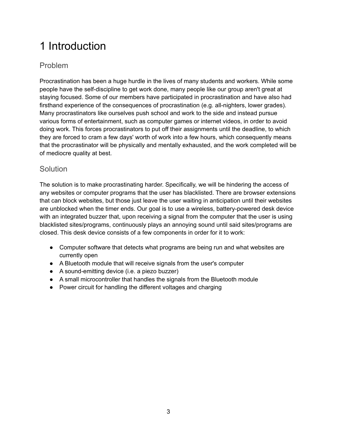# <span id="page-3-0"></span>1 Introduction

### <span id="page-3-1"></span>Problem

Procrastination has been a huge hurdle in the lives of many students and workers. While some people have the self-discipline to get work done, many people like our group aren't great at staying focused. Some of our members have participated in procrastination and have also had firsthand experience of the consequences of procrastination (e.g. all-nighters, lower grades). Many procrastinators like ourselves push school and work to the side and instead pursue various forms of entertainment, such as computer games or internet videos, in order to avoid doing work. This forces procrastinators to put off their assignments until the deadline, to which they are forced to cram a few days' worth of work into a few hours, which consequently means that the procrastinator will be physically and mentally exhausted, and the work completed will be of mediocre quality at best.

### <span id="page-3-2"></span>**Solution**

The solution is to make procrastinating harder. Specifically, we will be hindering the access of any websites or computer programs that the user has blacklisted. There are browser extensions that can block websites, but those just leave the user waiting in anticipation until their websites are unblocked when the timer ends. Our goal is to use a wireless, battery-powered desk device with an integrated buzzer that, upon receiving a signal from the computer that the user is using blacklisted sites/programs, continuously plays an annoying sound until said sites/programs are closed. This desk device consists of a few components in order for it to work:

- Computer software that detects what programs are being run and what websites are currently open
- A Bluetooth module that will receive signals from the user's computer
- A sound-emitting device (i.e. a piezo buzzer)
- A small microcontroller that handles the signals from the Bluetooth module
- Power circuit for handling the different voltages and charging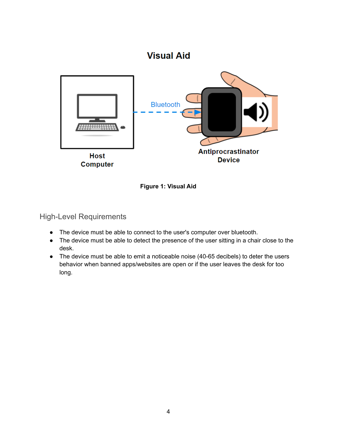### **Visual Aid**





<span id="page-4-0"></span>High-Level Requirements

- The device must be able to connect to the user's computer over bluetooth.
- The device must be able to detect the presence of the user sitting in a chair close to the desk.
- The device must be able to emit a noticeable noise (40-65 decibels) to deter the users behavior when banned apps/websites are open or if the user leaves the desk for too long.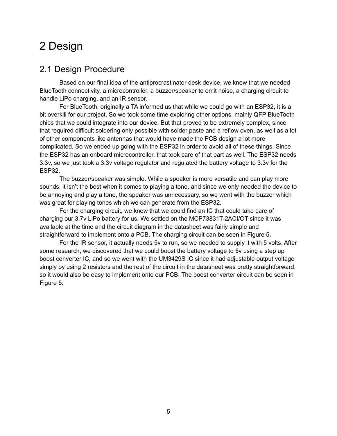# <span id="page-5-0"></span>2 Design

### <span id="page-5-1"></span>2.1 Design Procedure

Based on our final idea of the antiprocrastinator desk device, we knew that we needed BlueTooth connectivity, a microcontroller, a buzzer/speaker to emit noise, a charging circuit to handle LiPo charging, and an IR sensor.

For BlueTooth, originally a TA informed us that while we could go with an ESP32, it is a bit overkill for our project. So we took some time exploring other options, mainly QFP BlueTooth chips that we could integrate into our device. But that proved to be extremely complex, since that required difficult soldering only possible with solder paste and a reflow oven, as well as a lot of other components like antennas that would have made the PCB design a lot more complicated. So we ended up going with the ESP32 in order to avoid all of these things. Since the ESP32 has an onboard microcontroller, that took care of that part as well. The ESP32 needs 3.3v, so we just took a 3.3v voltage regulator and regulated the battery voltage to 3.3v for the ESP32.

The buzzer/speaker was simple. While a speaker is more versatile and can play more sounds, it isn't the best when it comes to playing a tone, and since we only needed the device to be annoying and play a tone, the speaker was unnecessary, so we went with the buzzer which was great for playing tones which we can generate from the ESP32.

For the charging circuit, we knew that we could find an IC that could take care of charging our 3.7v LiPo battery for us. We settled on the MCP73831T-2ACI/OT since it was available at the time and the circuit diagram in the datasheet was fairly simple and straightforward to implement onto a PCB. The charging circuit can be seen in Figure 5.

For the IR sensor, it actually needs 5v to run, so we needed to supply it with 5 volts. After some research, we discovered that we could boost the battery voltage to 5v using a step up boost converter IC, and so we went with the UM3429S IC since it had adjustable output voltage simply by using 2 resistors and the rest of the circuit in the datasheet was pretty straightforward, so it would also be easy to implement onto our PCB. The boost converter circuit can be seen in Figure 5.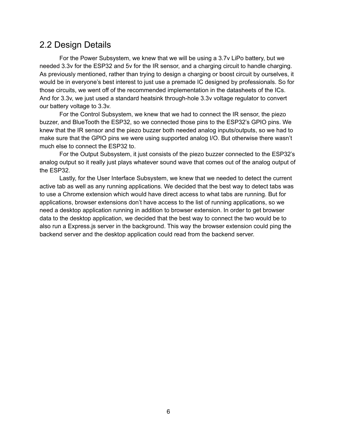### <span id="page-6-0"></span>2.2 Design Details

For the Power Subsystem, we knew that we will be using a 3.7v LiPo battery, but we needed 3.3v for the ESP32 and 5v for the IR sensor, and a charging circuit to handle charging. As previously mentioned, rather than trying to design a charging or boost circuit by ourselves, it would be in everyone's best interest to just use a premade IC designed by professionals. So for those circuits, we went off of the recommended implementation in the datasheets of the ICs. And for 3.3v, we just used a standard heatsink through-hole 3.3v voltage regulator to convert our battery voltage to 3.3v.

For the Control Subsystem, we knew that we had to connect the IR sensor, the piezo buzzer, and BlueTooth the ESP32, so we connected those pins to the ESP32's GPIO pins. We knew that the IR sensor and the piezo buzzer both needed analog inputs/outputs, so we had to make sure that the GPIO pins we were using supported analog I/O. But otherwise there wasn't much else to connect the ESP32 to.

For the Output Subsystem, it just consists of the piezo buzzer connected to the ESP32's analog output so it really just plays whatever sound wave that comes out of the analog output of the ESP32.

Lastly, for the User Interface Subsystem, we knew that we needed to detect the current active tab as well as any running applications. We decided that the best way to detect tabs was to use a Chrome extension which would have direct access to what tabs are running. But for applications, browser extensions don't have access to the list of running applications, so we need a desktop application running in addition to browser extension. In order to get browser data to the desktop application, we decided that the best way to connect the two would be to also run a Express.js server in the background. This way the browser extension could ping the backend server and the desktop application could read from the backend server.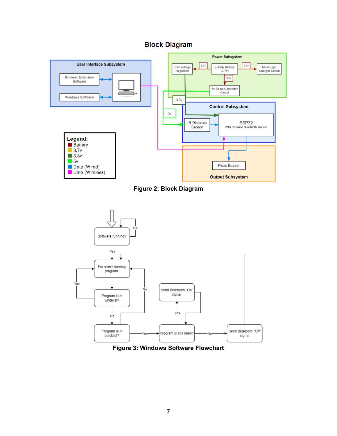







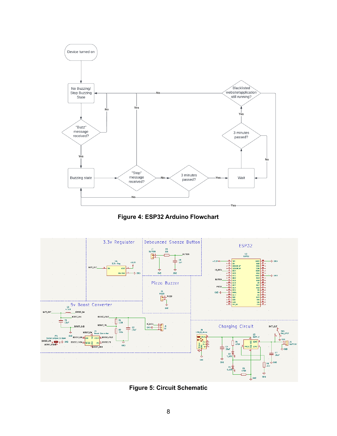

**Figure 4: ESP32 Arduino Flowchart**



**Figure 5: Circuit Schematic**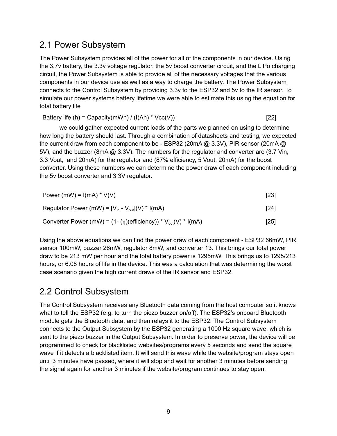### <span id="page-9-0"></span>2.1 Power Subsystem

The Power Subsystem provides all of the power for all of the components in our device. Using the 3.7v battery, the 3.3v voltage regulator, the 5v boost converter circuit, and the LiPo charging circuit, the Power Subsystem is able to provide all of the necessary voltages that the various components in our device use as well as a way to charge the battery. The Power Subsystem connects to the Control Subsystem by providing 3.3v to the ESP32 and 5v to the IR sensor. To simulate our power systems battery lifetime we were able to estimate this using the equation for total battery life

Battery life (h) = Capacity(mWh) / (I(Ah) \* Vcc(V))  $[22]$ 

we could gather expected current loads of the parts we planned on using to determine how long the battery should last. Through a combination of datasheets and testing, we expected the current draw from each component to be - ESP32 (20mA @ 3.3V), PIR sensor (20mA @ 5V), and the buzzer (8mA @ 3.3V). The numbers for the regulator and converter are (3.7 Vin, 3.3 Vout, and 20mA) for the regulator and (87% efficiency, 5 Vout, 20mA) for the boost converter. Using these numbers we can determine the power draw of each component including the 5v boost converter and 3.3V regulator.

| Power (mW) = $I(mA) * V(V)$                                          | [23] |
|----------------------------------------------------------------------|------|
| Regulator Power (mW) = $[V_{in} - V_{out}](V)$ * I(mA)               | [24] |
| Converter Power (mW) = $(1-(\eta)(efficiency)) * V_{out}(V) * I(mA)$ | [25] |

Using the above equations we can find the power draw of each component - ESP32 66mW, PIR sensor 100mW, buzzer 26mW, regulator 8mW, and converter 13. This brings our total power draw to be 213 mW per hour and the total battery power is 1295mW. This brings us to 1295/213 hours, or 6.08 hours of life in the device. This was a calculation that was determining the worst case scenario given the high current draws of the IR sensor and ESP32.

## <span id="page-9-1"></span>2.2 Control Subsystem

The Control Subsystem receives any Bluetooth data coming from the host computer so it knows what to tell the ESP32 (e.g. to turn the piezo buzzer on/off). The ESP32's onboard Bluetooth module gets the Bluetooth data, and then relays it to the ESP32. The Control Subsystem connects to the Output Subsystem by the ESP32 generating a 1000 Hz square wave, which is sent to the piezo buzzer in the Output Subsystem. In order to preserve power, the device will be programmed to check for blacklisted websites/programs every 5 seconds and send the square wave if it detects a blacklisted item. It will send this wave while the website/program stays open until 3 minutes have passed, where it will stop and wait for another 3 minutes before sending the signal again for another 3 minutes if the website/program continues to stay open.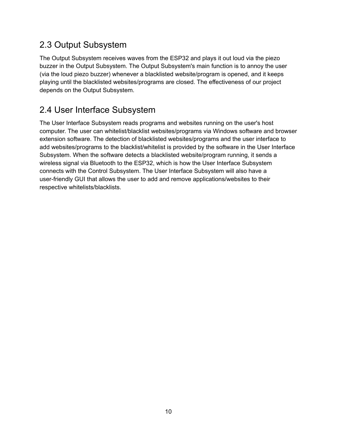### <span id="page-10-0"></span>2.3 Output Subsystem

The Output Subsystem receives waves from the ESP32 and plays it out loud via the piezo buzzer in the Output Subsystem. The Output Subsystem's main function is to annoy the user (via the loud piezo buzzer) whenever a blacklisted website/program is opened, and it keeps playing until the blacklisted websites/programs are closed. The effectiveness of our project depends on the Output Subsystem.

## <span id="page-10-1"></span>2.4 User Interface Subsystem

The User Interface Subsystem reads programs and websites running on the user's host computer. The user can whitelist/blacklist websites/programs via Windows software and browser extension software. The detection of blacklisted websites/programs and the user interface to add websites/programs to the blacklist/whitelist is provided by the software in the User Interface Subsystem. When the software detects a blacklisted website/program running, it sends a wireless signal via Bluetooth to the ESP32, which is how the User Interface Subsystem connects with the Control Subsystem. The User Interface Subsystem will also have a user-friendly GUI that allows the user to add and remove applications/websites to their respective whitelists/blacklists.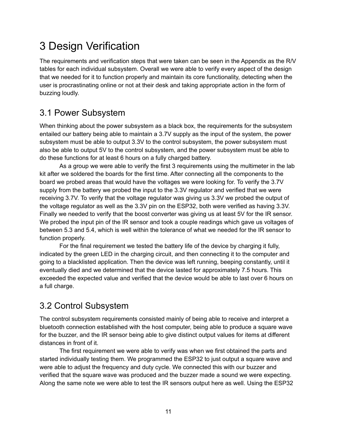# <span id="page-11-0"></span>3 Design Verification

The requirements and verification steps that were taken can be seen in the Appendix as the R/V tables for each individual subsystem. Overall we were able to verify every aspect of the design that we needed for it to function properly and maintain its core functionality, detecting when the user is procrastinating online or not at their desk and taking appropriate action in the form of buzzing loudly.

## <span id="page-11-1"></span>3.1 Power Subsystem

When thinking about the power subsystem as a black box, the requirements for the subsystem entailed our battery being able to maintain a 3.7V supply as the input of the system, the power subsystem must be able to output 3.3V to the control subsystem, the power subsystem must also be able to output 5V to the control subsystem, and the power subsystem must be able to do these functions for at least 6 hours on a fully charged battery.

As a group we were able to verify the first 3 requirements using the multimeter in the lab kit after we soldered the boards for the first time. After connecting all the components to the board we probed areas that would have the voltages we were looking for. To verify the 3.7V supply from the battery we probed the input to the 3.3V regulator and verified that we were receiving 3.7V. To verify that the voltage regulator was giving us 3.3V we probed the output of the voltage regulator as well as the 3.3V pin on the ESP32, both were verified as having 3.3V. Finally we needed to verify that the boost converter was giving us at least 5V for the IR sensor. We probed the input pin of the IR sensor and took a couple readings which gave us voltages of between 5.3 and 5.4, which is well within the tolerance of what we needed for the IR sensor to function properly.

For the final requirement we tested the battery life of the device by charging it fully, indicated by the green LED in the charging circuit, and then connecting it to the computer and going to a blacklisted application. Then the device was left running, beeping constantly, until it eventually died and we determined that the device lasted for approximately 7.5 hours. This exceeded the expected value and verified that the device would be able to last over 6 hours on a full charge.

## <span id="page-11-2"></span>3.2 Control Subsystem

The control subsystem requirements consisted mainly of being able to receive and interpret a bluetooth connection established with the host computer, being able to produce a square wave for the buzzer, and the IR sensor being able to give distinct output values for items at different distances in front of it.

The first requirement we were able to verify was when we first obtained the parts and started individually testing them. We programmed the ESP32 to just output a square wave and were able to adjust the frequency and duty cycle. We connected this with our buzzer and verified that the square wave was produced and the buzzer made a sound we were expecting. Along the same note we were able to test the IR sensors output here as well. Using the ESP32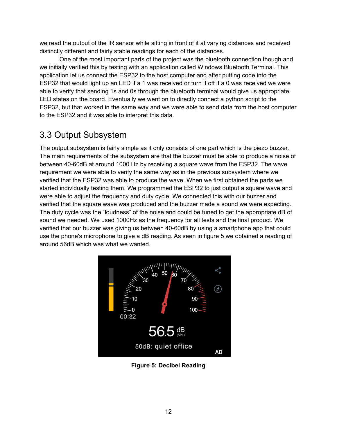we read the output of the IR sensor while sitting in front of it at varying distances and received distinctly different and fairly stable readings for each of the distances.

One of the most important parts of the project was the bluetooth connection though and we initially verified this by testing with an application called Windows Bluetooth Terminal. This application let us connect the ESP32 to the host computer and after putting code into the ESP32 that would light up an LED if a 1 was received or turn it off if a 0 was received we were able to verify that sending 1s and 0s through the bluetooth terminal would give us appropriate LED states on the board. Eventually we went on to directly connect a python script to the ESP32, but that worked in the same way and we were able to send data from the host computer to the ESP32 and it was able to interpret this data.

## <span id="page-12-0"></span>3.3 Output Subsystem

The output subsystem is fairly simple as it only consists of one part which is the piezo buzzer. The main requirements of the subsystem are that the buzzer must be able to produce a noise of between 40-60dB at around 1000 Hz by receiving a square wave from the ESP32. The wave requirement we were able to verify the same way as in the previous subsystem where we verified that the ESP32 was able to produce the wave. When we first obtained the parts we started individually testing them. We programmed the ESP32 to just output a square wave and were able to adjust the frequency and duty cycle. We connected this with our buzzer and verified that the square wave was produced and the buzzer made a sound we were expecting. The duty cycle was the "loudness" of the noise and could be tuned to get the appropriate dB of sound we needed. We used 1000Hz as the frequency for all tests and the final product. We verified that our buzzer was giving us between 40-60dB by using a smartphone app that could use the phone's microphone to give a dB reading. As seen in figure 5 we obtained a reading of around 56dB which was what we wanted.



**Figure 5: Decibel Reading**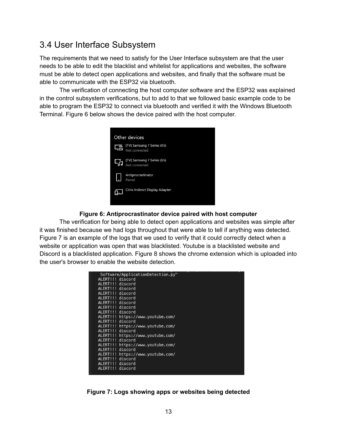### <span id="page-13-0"></span>3.4 User Interface Subsystem

The requirements that we need to satisfy for the User Interface subsystem are that the user needs to be able to edit the blacklist and whitelist for applications and websites, the software must be able to detect open applications and websites, and finally that the software must be able to communicate with the ESP32 via bluetooth.

The verification of connecting the host computer software and the ESP32 was explained in the control subsystem verifications, but to add to that we followed basic example code to be able to program the ESP32 to connect via bluetooth and verified it with the Windows Bluetooth Terminal. Figure 6 below shows the device paired with the host computer.



#### **Figure 6: Antiprocrastinator device paired with host computer**

The verification for being able to detect open applications and websites was simple after it was finished because we had logs throughout that were able to tell if anything was detected. Figure 7 is an example of the logs that we used to verify that it could correctly detect when a website or application was open that was blacklisted. Youtube is a blacklisted website and Discord is a blacklisted application. Figure 8 shows the chrome extension which is uploaded into the user's browser to enable the website detection.

|                  | Software/ApplicationDetection.py" |
|------------------|-----------------------------------|
| ALERT!!! discord |                                   |
| ALERT!!!         | discord                           |
| ALERT!!!         | discord                           |
| ALERT!!!         | discord                           |
| ALERT!!! discord |                                   |
| ALERT!!!         | discord                           |
| ALERT!!!         | discord                           |
| ALERT!!! discord |                                   |
| ALERT!!!         | https://www.youtube.com/          |
| ALERT!!! discord |                                   |
| ALERT!!!         | https://www.youtube.com/          |
| ALERT!!! discord |                                   |
| ALERT!!!         | https://www.youtube.com/          |
| ALERT!!! discord |                                   |
| ALERT!!!         | https://www.youtube.com/          |
| ALERT!!!         | discord                           |
| ALERT!!!         | https://www.youtube.com/          |
| ALERT!!!         | discord                           |
| ALERT!!!         | discord                           |
| ALERT!!!         | discord                           |
|                  |                                   |

**Figure 7: Logs showing apps or websites being detected**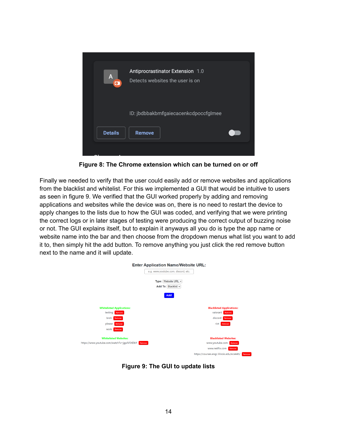

**Figure 8: The Chrome extension which can be turned on or off**

Finally we needed to verify that the user could easily add or remove websites and applications from the blacklist and whitelist. For this we implemented a GUI that would be intuitive to users as seen in figure 9. We verified that the GUI worked properly by adding and removing applications and websites while the device was on, there is no need to restart the device to apply changes to the lists due to how the GUI was coded, and verifying that we were printing the correct logs or in later stages of testing were producing the correct output of buzzing noise or not. The GUI explains itself, but to explain it anyways all you do is type the app name or website name into the bar and then choose from the dropdown menus what list you want to add it to, then simply hit the add button. To remove anything you just click the red remove button next to the name and it will update.



**Figure 9: The GUI to update lists**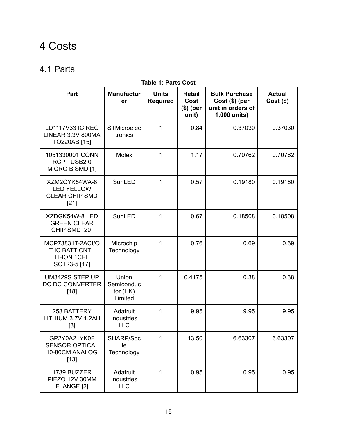# <span id="page-15-0"></span>4 Costs

### <span id="page-15-1"></span>4.1 Parts

| Part                                                                     | <b>Manufactur</b><br>er                      | <b>Units</b><br><b>Required</b> | <b>Retail</b><br>Cost<br>$$)$ (per | <b>Bulk Purchase</b><br>$Cost( $)$ (per<br>unit in orders of | <b>Actual</b><br>$Cost($ \$) |
|--------------------------------------------------------------------------|----------------------------------------------|---------------------------------|------------------------------------|--------------------------------------------------------------|------------------------------|
|                                                                          |                                              |                                 | unit)                              | 1,000 units)                                                 |                              |
| <b>LD1117V33 IC REG</b><br>LINEAR 3.3V 800MA<br>TO220AB [15]             | <b>STMicroelec</b><br>tronics                | 1                               | 0.84                               | 0.37030                                                      | 0.37030                      |
| 1051330001 CONN<br>RCPT USB2.0<br>MICRO B SMD [1]                        | <b>Molex</b>                                 | 1                               | 1.17                               | 0.70762                                                      | 0.70762                      |
| XZM2CYK54WA-8<br><b>LED YELLOW</b><br><b>CLEAR CHIP SMD</b><br>[21]      | SunLED                                       | 1                               | 0.57                               | 0.19180                                                      | 0.19180                      |
| XZDGK54W-8 LED<br><b>GREEN CLEAR</b><br>CHIP SMD [20]                    | SunLED                                       | 1                               | 0.67                               | 0.18508                                                      | 0.18508                      |
| MCP73831T-2ACI/O<br>T IC BATT CNTL<br><b>LI-ION 1CEL</b><br>SOT23-5 [17] | Microchip<br>Technology                      | 1                               | 0.76                               | 0.69                                                         | 0.69                         |
| UM3429S STEP UP<br>DC DC CONVERTER<br>$[18]$                             | Union<br>Semiconduc<br>tor $(HK)$<br>Limited | 1                               | 0.4175                             | 0.38                                                         | 0.38                         |
| 258 BATTERY<br>LITHIUM 3.7V 1.2AH<br>[3]                                 | Adafruit<br>Industries<br><b>LLC</b>         | 1                               | 9.95                               | 9.95                                                         | 9.95                         |
| GP2Y0A21YK0F<br><b>SENSOR OPTICAL</b><br>10-80CM ANALOG<br>$[13]$        | SHARP/Soc<br>le<br>Technology                | 1                               | 13.50                              | 6.63307                                                      | 6.63307                      |
| 1739 BUZZER<br>PIEZO 12V 30MM<br>FLANGE [2]                              | Adafruit<br>Industries<br><b>LLC</b>         | 1                               | 0.95                               | 0.95                                                         | 0.95                         |

#### **Table 1: Parts Cost**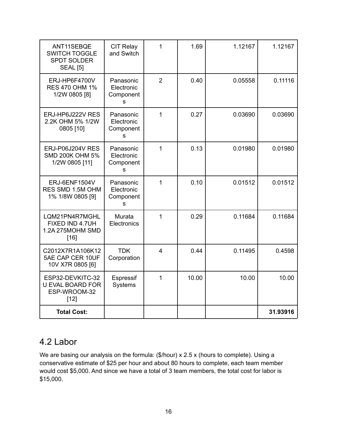| ANT11SEBQE<br><b>SWITCH TOGGLE</b><br><b>SPDT SOLDER</b><br><b>SEAL [5]</b> | <b>CIT Relay</b><br>and Switch            | 1                       | 1.69  | 1.12167 | 1.12167  |
|-----------------------------------------------------------------------------|-------------------------------------------|-------------------------|-------|---------|----------|
| ERJ-HP6F4700V<br><b>RES 470 OHM 1%</b><br>1/2W 0805 [8]                     | Panasonic<br>Electronic<br>Component<br>s | $\overline{2}$          | 0.40  | 0.05558 | 0.11116  |
| ERJ-HP6J222V RES<br>2.2K OHM 5% 1/2W<br>0805 [10]                           | Panasonic<br>Electronic<br>Component<br>s | 1                       | 0.27  | 0.03690 | 0.03690  |
| ERJ-P06J204V RES<br><b>SMD 200K OHM 5%</b><br>1/2W 0805 [11]                | Panasonic<br>Electronic<br>Component<br>s | 1                       | 0.13  | 0.01980 | 0.01980  |
| ERJ-6ENF1504V<br>RES SMD 1.5M OHM<br>1% 1/8W 0805 [9]                       | Panasonic<br>Electronic<br>Component<br>s | $\mathbf{1}$            | 0.10  | 0.01512 | 0.01512  |
| LQM21PN4R7MGHL<br>FIXED IND 4.7UH<br>1.2A 275MOHM SMD<br>$[16]$             | Murata<br>Electronics                     | 1                       | 0.29  | 0.11684 | 0.11684  |
| C2012X7R1A106K12<br>5AE CAP CER 10UF<br>10V X7R 0805 [6]                    | <b>TDK</b><br>Corporation                 | $\overline{\mathbf{4}}$ | 0.44  | 0.11495 | 0.4598   |
| ESP32-DEVKITC-32<br><b>U EVAL BOARD FOR</b><br>ESP-WROOM-32<br>$[12]$       | Espressif<br>Systems                      | 1                       | 10.00 | 10.00   | 10.00    |
| <b>Total Cost:</b>                                                          |                                           |                         |       |         | 31.93916 |

### <span id="page-16-0"></span>4.2 Labor

We are basing our analysis on the formula: (\$/hour) x 2.5 x (hours to complete). Using a conservative estimate of \$25 per hour and about 80 hours to complete, each team member would cost \$5,000. And since we have a total of 3 team members, the total cost for labor is \$15,000.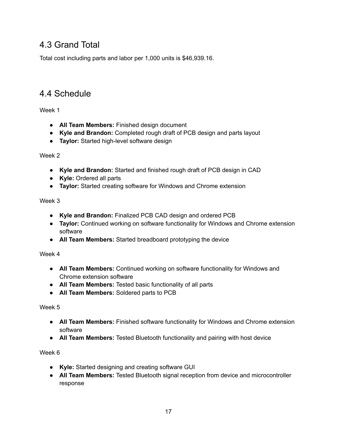### <span id="page-17-0"></span>4.3 Grand Total

Total cost including parts and labor per 1,000 units is \$46,939.16.

### <span id="page-17-1"></span>4.4 Schedule

<span id="page-17-2"></span>Week 1

- **All Team Members:** Finished design document
- **Kyle and Brandon:** Completed rough draft of PCB design and parts layout
- **Taylor:** Started high-level software design

<span id="page-17-3"></span>Week 2

- **Kyle and Brandon:** Started and finished rough draft of PCB design in CAD
- **Kyle:** Ordered all parts
- **Taylor:** Started creating software for Windows and Chrome extension

<span id="page-17-4"></span>Week 3

- **Kyle and Brandon:** Finalized PCB CAD design and ordered PCB
- **Taylor:** Continued working on software functionality for Windows and Chrome extension software
- **All Team Members:** Started breadboard prototyping the device

<span id="page-17-5"></span>Week 4

- **All Team Members:** Continued working on software functionality for Windows and Chrome extension software
- **All Team Members:** Tested basic functionality of all parts
- **All Team Members:** Soldered parts to PCB

<span id="page-17-6"></span>Week 5

- **All Team Members:** Finished software functionality for Windows and Chrome extension software
- **All Team Members:** Tested Bluetooth functionality and pairing with host device

<span id="page-17-7"></span>Week 6

- **Kyle:** Started designing and creating software GUI
- **All Team Members:** Tested Bluetooth signal reception from device and microcontroller response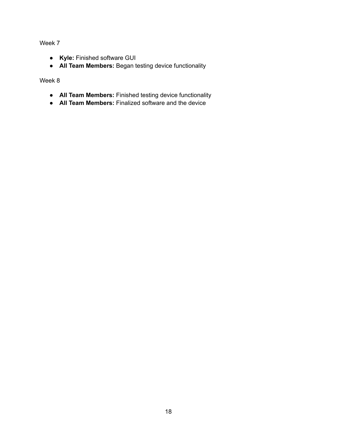<span id="page-18-0"></span>Week 7

- **Kyle:** Finished software GUI
- **All Team Members:** Began testing device functionality

<span id="page-18-1"></span>Week 8

- **All Team Members:** Finished testing device functionality
- **All Team Members:** Finalized software and the device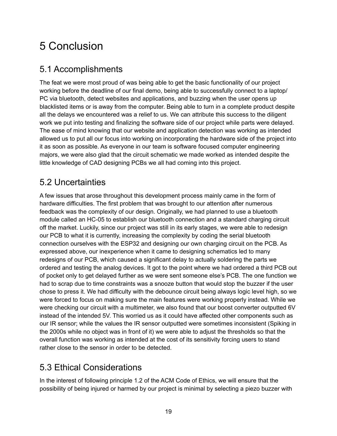# <span id="page-19-0"></span>5 Conclusion

## <span id="page-19-1"></span>5.1 Accomplishments

The feat we were most proud of was being able to get the basic functionality of our project working before the deadline of our final demo, being able to successfully connect to a laptop/ PC via bluetooth, detect websites and applications, and buzzing when the user opens up blacklisted items or is away from the computer. Being able to turn in a complete product despite all the delays we encountered was a relief to us. We can attribute this success to the diligent work we put into testing and finalizing the software side of our project while parts were delayed. The ease of mind knowing that our website and application detection was working as intended allowed us to put all our focus into working on incorporating the hardware side of the project into it as soon as possible. As everyone in our team is software focused computer engineering majors, we were also glad that the circuit schematic we made worked as intended despite the little knowledge of CAD designing PCBs we all had coming into this project.

## <span id="page-19-2"></span>5.2 Uncertainties

A few issues that arose throughout this development process mainly came in the form of hardware difficulties. The first problem that was brought to our attention after numerous feedback was the complexity of our design. Originally, we had planned to use a bluetooth module called an HC-05 to establish our bluetooth connection and a standard charging circuit off the market. Luckily, since our project was still in its early stages, we were able to redesign our PCB to what it is currently, increasing the complexity by coding the serial bluetooth connection ourselves with the ESP32 and designing our own charging circuit on the PCB. As expressed above, our inexperience when it came to designing schematics led to many redesigns of our PCB, which caused a significant delay to actually soldering the parts we ordered and testing the analog devices. It got to the point where we had ordered a third PCB out of pocket only to get delayed further as we were sent someone else's PCB. The one function we had to scrap due to time constraints was a snooze button that would stop the buzzer if the user chose to press it. We had difficulty with the debounce circuit being always logic level high, so we were forced to focus on making sure the main features were working properly instead. While we were checking our circuit with a multimeter, we also found that our boost converter outputted 6V instead of the intended 5V. This worried us as it could have affected other components such as our IR sensor; while the values the IR sensor outputted were sometimes inconsistent (Spiking in the 2000s while no object was in front of it) we were able to adjust the thresholds so that the overall function was working as intended at the cost of its sensitivity forcing users to stand rather close to the sensor in order to be detected.

## <span id="page-19-3"></span>5.3 Ethical Considerations

In the interest of following principle 1.2 of the ACM Code of Ethics, we will ensure that the possibility of being injured or harmed by our project is minimal by selecting a piezo buzzer with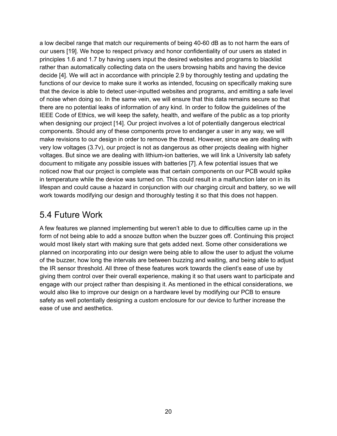a low decibel range that match our requirements of being 40-60 dB as to not harm the ears of our users [19]. We hope to respect privacy and honor confidentiality of our users as stated in principles 1.6 and 1.7 by having users input the desired websites and programs to blacklist rather than automatically collecting data on the users browsing habits and having the device decide [4]. We will act in accordance with principle 2.9 by thoroughly testing and updating the functions of our device to make sure it works as intended, focusing on specifically making sure that the device is able to detect user-inputted websites and programs, and emitting a safe level of noise when doing so. In the same vein, we will ensure that this data remains secure so that there are no potential leaks of information of any kind. In order to follow the guidelines of the IEEE Code of Ethics, we will keep the safety, health, and welfare of the public as a top priority when designing our project [14]. Our project involves a lot of potentially dangerous electrical components. Should any of these components prove to endanger a user in any way, we will make revisions to our design in order to remove the threat. However, since we are dealing with very low voltages (3.7v), our project is not as dangerous as other projects dealing with higher voltages. But since we are dealing with lithium-ion batteries, we will link a University lab safety document to mitigate any possible issues with batteries [7]. A few potential issues that we noticed now that our project is complete was that certain components on our PCB would spike in temperature while the device was turned on. This could result in a malfunction later on in its lifespan and could cause a hazard in conjunction with our charging circuit and battery, so we will work towards modifying our design and thoroughly testing it so that this does not happen.

### <span id="page-20-0"></span>5.4 Future Work

A few features we planned implementing but weren't able to due to difficulties came up in the form of not being able to add a snooze button when the buzzer goes off. Continuing this project would most likely start with making sure that gets added next. Some other considerations we planned on incorporating into our design were being able to allow the user to adjust the volume of the buzzer, how long the intervals are between buzzing and waiting, and being able to adjust the IR sensor threshold. All three of these features work towards the client's ease of use by giving them control over their overall experience, making it so that users want to participate and engage with our project rather than despising it. As mentioned in the ethical considerations, we would also like to improve our design on a hardware level by modifying our PCB to ensure safety as well potentially designing a custom enclosure for our device to further increase the ease of use and aesthetics.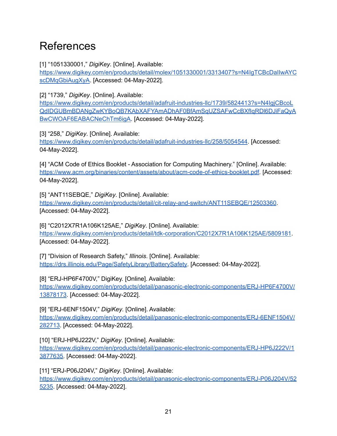# <span id="page-21-0"></span>References

[1] "1051330001," *DigiKey*. [Online]. Available:

[https://www.digikey.com/en/products/detail/molex/1051330001/3313407?s=N4IgTCBcDaIIwAYC](https://www.digikey.com/en/products/detail/molex/1051330001/3313407?s=N4IgTCBcDaIIwAYCscDMqGbiAugXyA) [scDMqGbiAugXyA](https://www.digikey.com/en/products/detail/molex/1051330001/3313407?s=N4IgTCBcDaIIwAYCscDMqGbiAugXyA). [Accessed: 04-May-2022].

[2] "1739," *DigiKey*. [Online]. Available:

[https://www.digikey.com/en/products/detail/adafruit-industries-llc/1739/5824413?s=N4IgjCBcoL](https://www.digikey.com/en/products/detail/molex/1051330001/3313407?s=N4IgTCBcDaIIwAYCscDMqGbiAugXyA) [QdIDGUBmBDANgZwKYBoQB7KAbXAFYAmADhAF0BfAmSqUZSAFwCcBXfIqRDl6DJiFaQyA](https://www.digikey.com/en/products/detail/molex/1051330001/3313407?s=N4IgTCBcDaIIwAYCscDMqGbiAugXyA) [BwCWOAF6EABACNeChTm6igA.](https://www.digikey.com/en/products/detail/molex/1051330001/3313407?s=N4IgTCBcDaIIwAYCscDMqGbiAugXyA) [Accessed: 04-May-2022].

[3] "258," *DigiKey*. [Online]. Available:

[https://www.digikey.com/en/products/detail/adafruit-industries-llc/258/5054544](https://www.digikey.com/en/products/detail/molex/1051330001/3313407?s=N4IgTCBcDaIIwAYCscDMqGbiAugXyA). [Accessed: 04-May-2022].

[4] "ACM Code of Ethics Booklet - Association for Computing Machinery." [Online]. Available: [https://www.acm.org/binaries/content/assets/about/acm-code-of-ethics-booklet.pdf.](https://www.acm.org/binaries/content/assets/about/acm-code-of-ethics-booklet.pdf) [Accessed: 04-May-2022].

[5] "ANT11SEBQE," *DigiKey*. [Online]. Available: <https://www.digikey.com/en/products/detail/cit-relay-and-switch/ANT11SEBQE/12503360>. [Accessed: 04-May-2022].

[6] "C2012X7R1A106K125AE," *DigiKey*. [Online]. Available: <https://www.digikey.com/en/products/detail/tdk-corporation/C2012X7R1A106K125AE/5809181>. [Accessed: 04-May-2022].

[7] "Division of Research Safety," *Illinois*. [Online]. Available: <https://drs.illinois.edu/Page/SafetyLibrary/BatterySafety>. [Accessed: 04-May-2022].

[8] "ERJ-HP6F4700V," DigiKey. [Online]. Available:

[https://www.digikey.com/en/products/detail/panasonic-electronic-components/ERJ-HP6F4700V/](https://www.digikey.com/en/products/detail/panasonic-electronic-components/ERJ-HP6F4700V/13878173) [13878173.](https://www.digikey.com/en/products/detail/panasonic-electronic-components/ERJ-HP6F4700V/13878173) [Accessed: 04-May-2022].

[9] "ERJ-6ENF1504V," *DigiKey*. [Online]. Available:

[https://www.digikey.com/en/products/detail/panasonic-electronic-components/ERJ-6ENF1504V/](https://www.digikey.com/en/products/detail/panasonic-electronic-components/ERJ-6ENF1504V/282713) [282713.](https://www.digikey.com/en/products/detail/panasonic-electronic-components/ERJ-6ENF1504V/282713) [Accessed: 04-May-2022].

[10] "ERJ-HP6J222V," *DigiKey*. [Online]. Available: [https://www.digikey.com/en/products/detail/panasonic-electronic-components/ERJ-HP6J222V/1](https://www.digikey.com/en/products/detail/panasonic-electronic-components/ERJ-HP6J222V/13877635) [3877635.](https://www.digikey.com/en/products/detail/panasonic-electronic-components/ERJ-HP6J222V/13877635) [Accessed: 04-May-2022].

[11] "ERJ-P06J204V," *DigiKey*. [Online]. Available: [https://www.digikey.com/en/products/detail/panasonic-electronic-components/ERJ-P06J204V/52](https://www.digikey.com/en/products/detail/panasonic-electronic-components/ERJ-P06J204V/525235) [5235](https://www.digikey.com/en/products/detail/panasonic-electronic-components/ERJ-P06J204V/525235). [Accessed: 04-May-2022].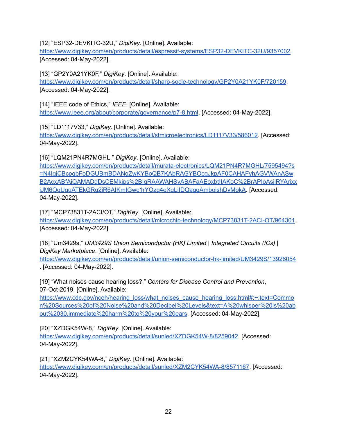[12] "ESP32-DEVKITC-32U," *DigiKey*. [Online]. Available:

[https://www.digikey.com/en/products/detail/espressif-systems/ESP32-DEVKITC-32U/9357002.](https://www.digikey.com/en/products/detail/espressif-systems/ESP32-DEVKITC-32U/9357002) [Accessed: 04-May-2022].

[13] "GP2Y0A21YK0F," *DigiKey*. [Online]. Available:

<https://www.digikey.com/en/products/detail/sharp-socle-technology/GP2Y0A21YK0F/720159>. [Accessed: 04-May-2022].

[14] "IEEE code of Ethics," *IEEE*. [Online]. Available: <https://www.ieee.org/about/corporate/governance/p7-8.html>. [Accessed: 04-May-2022].

[15] "LD1117V33," *DigiKey*. [Online]. Available: [https://www.digikey.com/en/products/detail/stmicroelectronics/LD1117V33/586012.](https://www.digikey.com/en/products/detail/stmicroelectronics/LD1117V33/586012) [Accessed: 04-May-2022].

[16] "LQM21PN4R7MGHL," *DigiKey*. [Online]. Available:

[https://www.digikey.com/en/products/detail/murata-electronics/LQM21PN4R7MGHL/7595494?s](https://www.digikey.com/en/products/detail/murata-electronics/LQM21PN4R7MGHL/7595494?s=N4IgjCBcpgbFoDGUBmBDANgZwKYBoQB7KAbRAGYBOcgJkpAF0CAHAFyhAGVWAnASwB2AcxABfAjQAMADgDsCEMkjps%2BIqRAAWAHSyABAFaAEoxbtIIAKoC%2BrAPIoAsjjRYArjxxiJM6QqUquATEkGRg2jR6AIKmIGwc1rYOzq4eXqLiIDQaggAmboishDyMokA) [=N4IgjCBcpgbFoDGUBmBDANgZwKYBoQB7KAbRAGYBOcgJkpAF0CAHAFyhAGVWAnASw](https://www.digikey.com/en/products/detail/murata-electronics/LQM21PN4R7MGHL/7595494?s=N4IgjCBcpgbFoDGUBmBDANgZwKYBoQB7KAbRAGYBOcgJkpAF0CAHAFyhAGVWAnASwB2AcxABfAjQAMADgDsCEMkjps%2BIqRAAWAHSyABAFaAEoxbtIIAKoC%2BrAPIoAsjjRYArjxxiJM6QqUquATEkGRg2jR6AIKmIGwc1rYOzq4eXqLiIDQaggAmboishDyMokA) [B2AcxABfAjQAMADgDsCEMkjps%2BIqRAAWAHSyABAFaAEoxbtIIAKoC%2BrAPIoAsjjRYArjxx](https://www.digikey.com/en/products/detail/murata-electronics/LQM21PN4R7MGHL/7595494?s=N4IgjCBcpgbFoDGUBmBDANgZwKYBoQB7KAbRAGYBOcgJkpAF0CAHAFyhAGVWAnASwB2AcxABfAjQAMADgDsCEMkjps%2BIqRAAWAHSyABAFaAEoxbtIIAKoC%2BrAPIoAsjjRYArjxxiJM6QqUquATEkGRg2jR6AIKmIGwc1rYOzq4eXqLiIDQaggAmboishDyMokA) [iJM6QqUquATEkGRg2jR6AIKmIGwc1rYOzq4eXqLiIDQaggAmboishDyMokA.](https://www.digikey.com/en/products/detail/murata-electronics/LQM21PN4R7MGHL/7595494?s=N4IgjCBcpgbFoDGUBmBDANgZwKYBoQB7KAbRAGYBOcgJkpAF0CAHAFyhAGVWAnASwB2AcxABfAjQAMADgDsCEMkjps%2BIqRAAWAHSyABAFaAEoxbtIIAKoC%2BrAPIoAsjjRYArjxxiJM6QqUquATEkGRg2jR6AIKmIGwc1rYOzq4eXqLiIDQaggAmboishDyMokA) [Accessed: 04-May-2022].

[17] "MCP73831T-2ACI/OT," *DigiKey*. [Online]. Available: <https://www.digikey.com/en/products/detail/microchip-technology/MCP73831T-2ACI-OT/964301>. [Accessed: 04-May-2022].

[18] "Um3429s," *UM3429S Union Semiconductor (HK) Limited | Integrated Circuits (ICs) | DigiKey Marketplace*. [Online]. Available:

<https://www.digikey.com/en/products/detail/union-semiconductor-hk-limited/UM3429S/13926054> . [Accessed: 04-May-2022].

[19] "What noises cause hearing loss?," *Centers for Disease Control and Prevention*, 07-Oct-2019. [Online]. Available:

[https://www.cdc.gov/nceh/hearing\\_loss/what\\_noises\\_cause\\_hearing\\_loss.html#:~:text=Commo](https://www.cdc.gov/nceh/hearing_loss/what_noises_cause_hearing_loss.html#:~:text=Common%20Sources%20of%20Noise%20and%20Decibel%20Levels&text=A%20whisper%20is%20about%2030,immediate%20harm%20to%20your%20ears) [n%20Sources%20of%20Noise%20and%20Decibel%20Levels&text=A%20whisper%20is%20ab](https://www.cdc.gov/nceh/hearing_loss/what_noises_cause_hearing_loss.html#:~:text=Common%20Sources%20of%20Noise%20and%20Decibel%20Levels&text=A%20whisper%20is%20about%2030,immediate%20harm%20to%20your%20ears) [out%2030,immediate%20harm%20to%20your%20ears](https://www.cdc.gov/nceh/hearing_loss/what_noises_cause_hearing_loss.html#:~:text=Common%20Sources%20of%20Noise%20and%20Decibel%20Levels&text=A%20whisper%20is%20about%2030,immediate%20harm%20to%20your%20ears). [Accessed: 04-May-2022].

[20] "XZDGK54W-8," *DigiKey*. [Online]. Available:

[https://www.digikey.com/en/products/detail/sunled/XZDGK54W-8/8259042.](https://www.digikey.com/en/products/detail/sunled/XZDGK54W-8/8259042) [Accessed: 04-May-2022].

[21] "XZM2CYK54WA-8," *DigiKey*. [Online]. Available: <https://www.digikey.com/en/products/detail/sunled/XZM2CYK54WA-8/8571167>. [Accessed: 04-May-2022].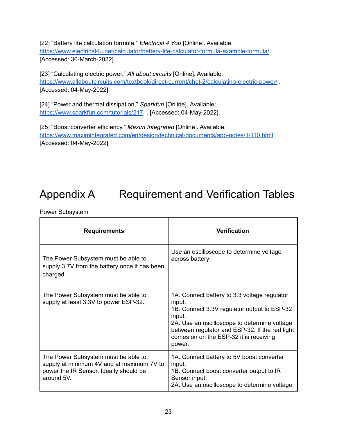[22] "Battery life calculation formula," *Electrical 4 You* [Online]. Available: <https://www.electrical4u.net/calculator/battery-life-calculator-formula-example-formula/>. [Accessed: 30-March-2022].

[23] "Calculating electric power," *All about circuits* [Online]. Available: <https://www.allaboutcircuits.com/textbook/direct-current/chpt-2/calculating-electric-power/> . [Accessed: 04-May-2022].

[24] "Power and thermal dissipation," *Sparkfun* [Online]. Available: <https://www.sparkfun.com/tutorials/217> . [Accessed: 04-May-2022].

[25] "Boost converter efficiency," *Maxim Integrated* [Online]. Available: <https://www.maximintegrated.com/en/design/technical-documents/app-notes/1/110.html> [Accessed: 04-May-2022].

# <span id="page-23-0"></span>Appendix A Requirement and Verification Tables

Power Subsystem

| <b>Requirements</b>                                                                                                                      | <b>Verification</b>                                                                                                                                                                                                                                                   |
|------------------------------------------------------------------------------------------------------------------------------------------|-----------------------------------------------------------------------------------------------------------------------------------------------------------------------------------------------------------------------------------------------------------------------|
| The Power Subsystem must be able to<br>supply 3.7V from the battery once it has been<br>charged.                                         | Use an oscilloscope to determine voltage<br>across battery                                                                                                                                                                                                            |
| The Power Subsystem must be able to<br>supply at least 3.3V to power ESP-32.                                                             | 1A. Connect battery to 3.3 voltage regulator<br>input.<br>1B. Connect 3.3V regulator output to ESP-32<br>input.<br>2A. Use an oscilloscope to determine voltage<br>between regulator and ESP-32. If the red light<br>comes on on the ESP-32 it is receiving<br>power. |
| The Power Subsystem must be able to<br>supply at minimum 4V and at maximum 7V to<br>power the IR Sensor. Ideally should be<br>around 5V. | 1A. Connect battery to 5V boost converter<br>input.<br>1B. Connect boost converter output to IR<br>Sensor input.<br>2A. Use an oscilloscope to determine voltage                                                                                                      |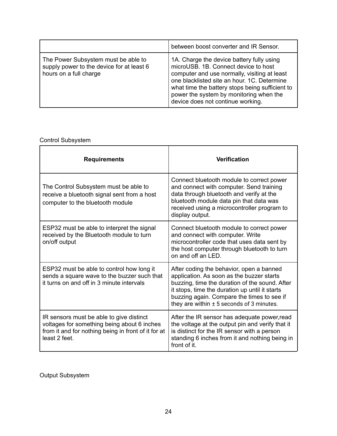|                                                                                                            | between boost converter and IR Sensor.                                                                                                                                                                                                                                                                              |
|------------------------------------------------------------------------------------------------------------|---------------------------------------------------------------------------------------------------------------------------------------------------------------------------------------------------------------------------------------------------------------------------------------------------------------------|
| The Power Subsystem must be able to<br>supply power to the device for at least 6<br>hours on a full charge | 1A. Charge the device battery fully using<br>microUSB, 1B. Connect device to host<br>computer and use normally, visiting at least<br>one blacklisted site an hour. 1C. Determine<br>what time the battery stops being sufficient to<br>power the system by monitoring when the<br>device does not continue working. |

### Control Subsystem

| <b>Requirements</b>                                                                                                                                             | <b>Verification</b>                                                                                                                                                                                                                                                                      |
|-----------------------------------------------------------------------------------------------------------------------------------------------------------------|------------------------------------------------------------------------------------------------------------------------------------------------------------------------------------------------------------------------------------------------------------------------------------------|
| The Control Subsystem must be able to<br>receive a bluetooth signal sent from a host<br>computer to the bluetooth module                                        | Connect bluetooth module to correct power<br>and connect with computer. Send training<br>data through bluetooth and verify at the<br>bluetooth module data pin that data was<br>received using a microcontroller program to<br>display output.                                           |
| ESP32 must be able to interpret the signal<br>received by the Bluetooth module to turn<br>on/off output                                                         | Connect bluetooth module to correct power<br>and connect with computer. Write<br>microcontroller code that uses data sent by<br>the host computer through bluetooth to turn<br>on and off an LED.                                                                                        |
| ESP32 must be able to control how long it<br>sends a square wave to the buzzer such that<br>it turns on and off in 3 minute intervals                           | After coding the behavior, open a banned<br>application. As soon as the buzzer starts<br>buzzing, time the duration of the sound. After<br>it stops, time the duration up until it starts<br>buzzing again. Compare the times to see if<br>they are within $\pm$ 5 seconds of 3 minutes. |
| IR sensors must be able to give distinct<br>voltages for something being about 6 inches<br>from it and for nothing being in front of it for at<br>least 2 feet. | After the IR sensor has adequate power, read<br>the voltage at the output pin and verify that it<br>is distinct for the IR sensor with a person<br>standing 6 inches from it and nothing being in<br>front of it.                                                                        |

Output Subsystem